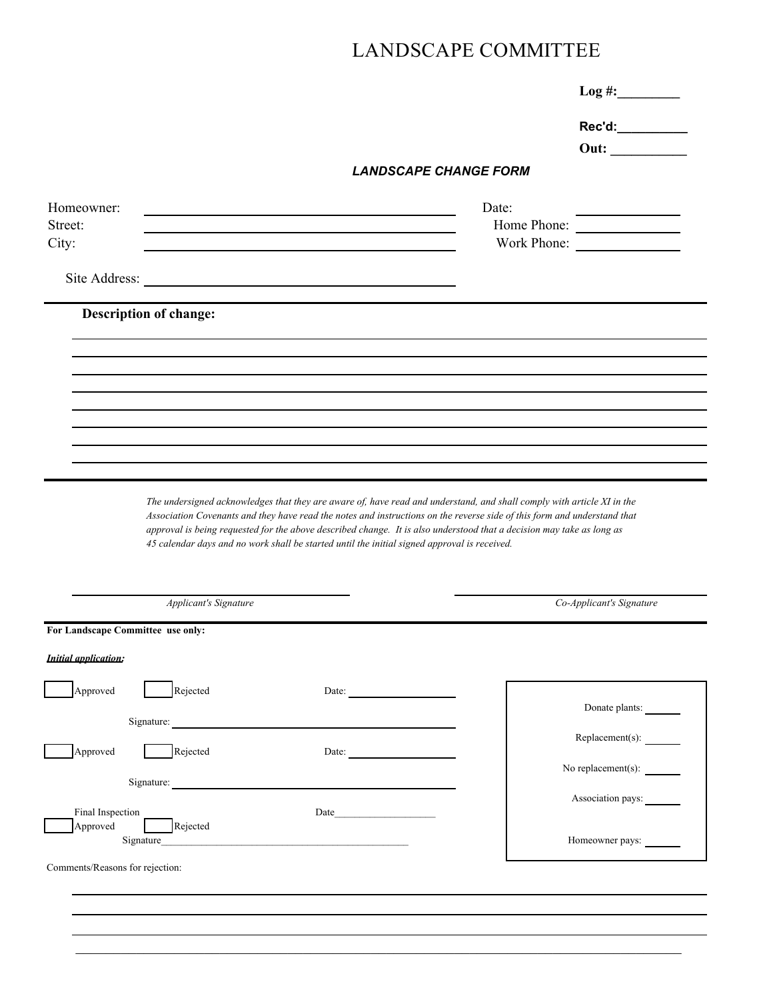# LANDSCAPE COMMITTEE

|                                                                              |                               |                                                                                                                                                                                                                                                    | Log #:                    |
|------------------------------------------------------------------------------|-------------------------------|----------------------------------------------------------------------------------------------------------------------------------------------------------------------------------------------------------------------------------------------------|---------------------------|
|                                                                              |                               |                                                                                                                                                                                                                                                    | Rec'd:__________          |
|                                                                              |                               |                                                                                                                                                                                                                                                    | Out: $\qquad \qquad$      |
|                                                                              |                               | <b>LANDSCAPE CHANGE FORM</b>                                                                                                                                                                                                                       |                           |
| Homeowner:                                                                   |                               | Date:                                                                                                                                                                                                                                              |                           |
| Street:                                                                      |                               |                                                                                                                                                                                                                                                    | Home Phone:               |
| City:                                                                        |                               |                                                                                                                                                                                                                                                    |                           |
|                                                                              |                               |                                                                                                                                                                                                                                                    |                           |
|                                                                              | <b>Description of change:</b> |                                                                                                                                                                                                                                                    |                           |
|                                                                              |                               |                                                                                                                                                                                                                                                    |                           |
|                                                                              |                               |                                                                                                                                                                                                                                                    |                           |
|                                                                              |                               |                                                                                                                                                                                                                                                    |                           |
|                                                                              |                               |                                                                                                                                                                                                                                                    |                           |
|                                                                              |                               |                                                                                                                                                                                                                                                    |                           |
|                                                                              |                               |                                                                                                                                                                                                                                                    |                           |
|                                                                              |                               | The undersigned acknowledges that they are aware of, have read and understand, and shall comply with article XI in the<br>Association Covenants and they have read the notes and instructions on the reverse side of this form and understand that |                           |
|                                                                              | Applicant's Signature         | approval is being requested for the above described change. It is also understood that a decision may take as long as<br>45 calendar days and no work shall be started until the initial signed approval is received.                              | Co-Applicant's Signature  |
|                                                                              |                               |                                                                                                                                                                                                                                                    |                           |
|                                                                              |                               |                                                                                                                                                                                                                                                    |                           |
|                                                                              |                               |                                                                                                                                                                                                                                                    |                           |
| Approved                                                                     | Rejected                      |                                                                                                                                                                                                                                                    | Donate plants:            |
|                                                                              | Signature:                    |                                                                                                                                                                                                                                                    | Replacement(s):           |
| Approved                                                                     | Rejected                      |                                                                                                                                                                                                                                                    | No replacement(s): $\_\_$ |
|                                                                              | Signature:                    |                                                                                                                                                                                                                                                    |                           |
| Final Inspection                                                             |                               | Date                                                                                                                                                                                                                                               | Association pays:         |
| For Landscape Committee use only:<br><b>Initial application:</b><br>Approved | Rejected<br>Signature         | <u> 1989 - Andrea Stadt, fransk politiker (d. 1989)</u>                                                                                                                                                                                            | Homeowner pays:           |
| Comments/Reasons for rejection:                                              |                               |                                                                                                                                                                                                                                                    |                           |
|                                                                              |                               |                                                                                                                                                                                                                                                    |                           |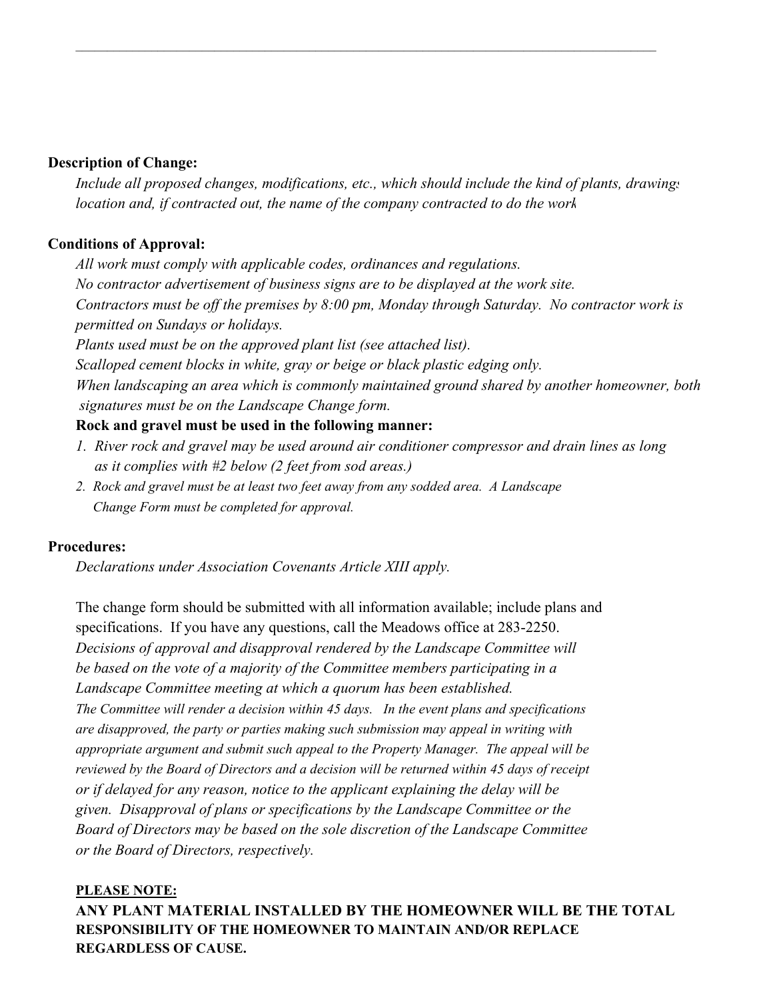#### **Description of Change:**

*Include all proposed changes, modifications, etc., which should include the kind of plants, drawings, location and, if contracted out, the name of the company contracted to do the work.*

 $\mathcal{L}_\mathcal{L} = \mathcal{L}_\mathcal{L} = \mathcal{L}_\mathcal{L} = \mathcal{L}_\mathcal{L} = \mathcal{L}_\mathcal{L} = \mathcal{L}_\mathcal{L} = \mathcal{L}_\mathcal{L} = \mathcal{L}_\mathcal{L} = \mathcal{L}_\mathcal{L} = \mathcal{L}_\mathcal{L} = \mathcal{L}_\mathcal{L} = \mathcal{L}_\mathcal{L} = \mathcal{L}_\mathcal{L} = \mathcal{L}_\mathcal{L} = \mathcal{L}_\mathcal{L} = \mathcal{L}_\mathcal{L} = \mathcal{L}_\mathcal{L}$ 

#### **Conditions of Approval:**

*All work must comply with applicable codes, ordinances and regulations. No contractor advertisement of business signs are to be displayed at the work site. Contractors must be off the premises by 8:00 pm, Monday through Saturday. No contractor work is permitted on Sundays or holidays. Plants used must be on the approved plant list (see attached list). Scalloped cement blocks in white, gray or beige or black plastic edging only. When landscaping an area which is commonly maintained ground shared by another homeowner, both signatures must be on the Landscape Change form.*

## **Rock and gravel must be used in the following manner:**

- *1. River rock and gravel may be used around air conditioner compressor and drain lines as long as it complies with #2 below (2 feet from sod areas.)*
- *2. Rock and gravel must be at least two feet away from any sodded area. A Landscape Change Form must be completed for approval.*

#### **Procedures:**

*Declarations under Association Covenants Article XIII apply.*

The change form should be submitted with all information available; include plans and specifications. If you have any questions, call the Meadows office at 283-2250. *Decisions of approval and disapproval rendered by the Landscape Committee will be based on the vote of a majority of the Committee members participating in a Landscape Committee meeting at which a quorum has been established. The Committee will render a decision within 45 days. In the event plans and specifications are disapproved, the party or parties making such submission may appeal in writing with appropriate argument and submit such appeal to the Property Manager. The appeal will be reviewed by the Board of Directors and a decision will be returned within 45 days of receipt or if delayed for any reason, notice to the applicant explaining the delay will be given. Disapproval of plans or specifications by the Landscape Committee or the Board of Directors may be based on the sole discretion of the Landscape Committee or the Board of Directors, respectively.*

#### **PLEASE NOTE:**

**ANY PLANT MATERIAL INSTALLED BY THE HOMEOWNER WILL BE THE TOTAL RESPONSIBILITY OF THE HOMEOWNER TO MAINTAIN AND/OR REPLACE REGARDLESS OF CAUSE.**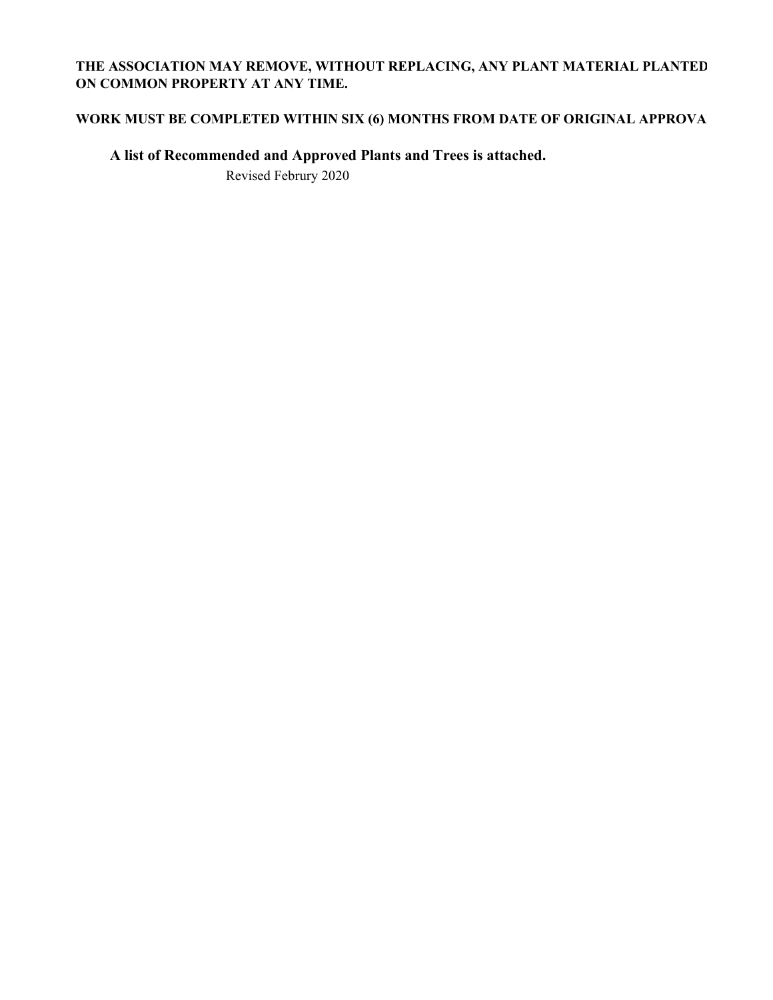#### **THE ASSOCIATION MAY REMOVE, WITHOUT REPLACING, ANY PLANT MATERIAL PLANTED ON COMMON PROPERTY AT ANY TIME.**

## **WORK MUST BE COMPLETED WITHIN SIX (6) MONTHS FROM DATE OF ORIGINAL APPROVAL**

# **A list of Recommended and Approved Plants and Trees is attached.**

Revised Februry 2020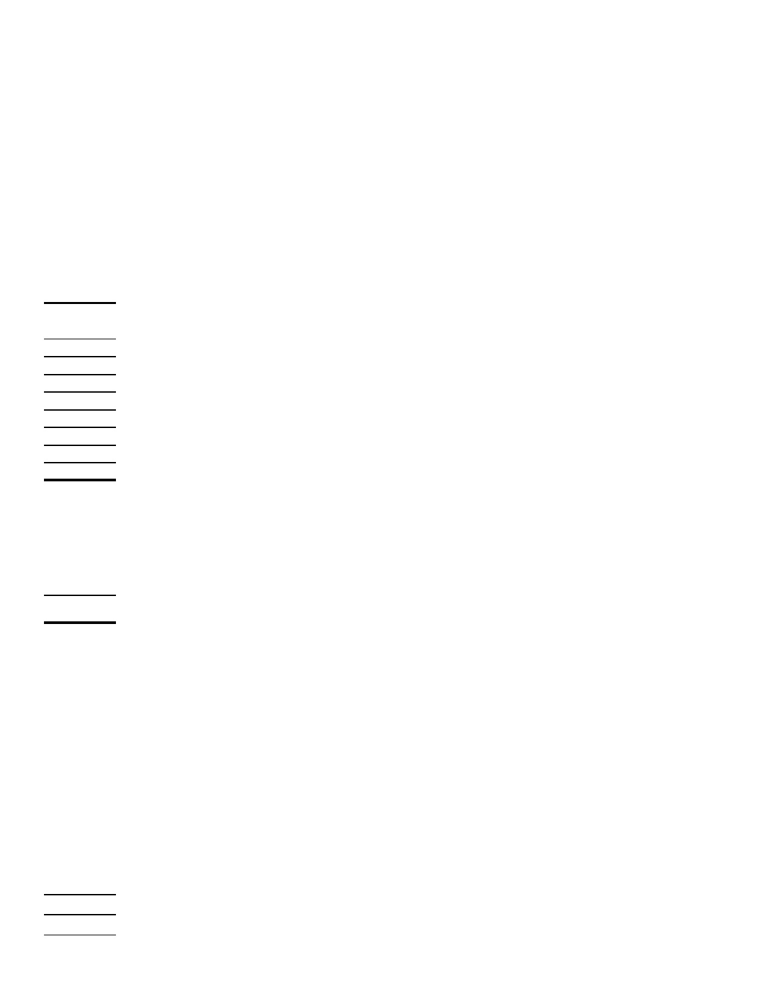$\frac{1}{\sqrt{2}}$  $\overline{\phantom{a}}$ 

<u> 1980 - Jan Barat, politik a</u>

-

——<br>————<br>————